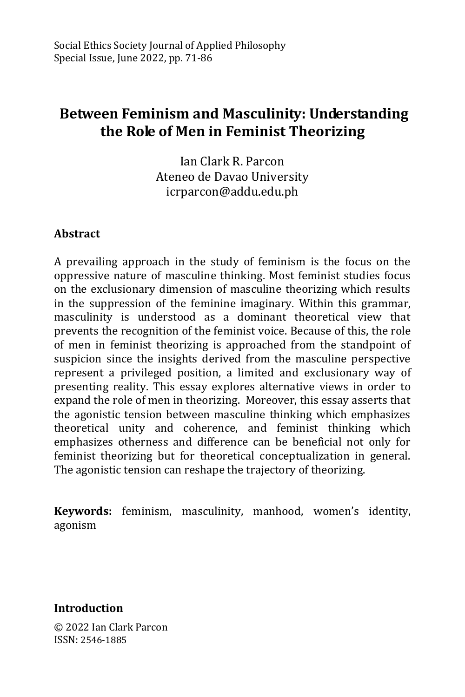# **Between Feminism and Masculinity: Understanding the Role of Men in Feminist Theorizing**

Ian Clark R. Parcon Ateneo de Davao University icrparcon@addu.edu.ph

#### **Abstract**

A prevailing approach in the study of feminism is the focus on the oppressive nature of masculine thinking. Most feminist studies focus on the exclusionary dimension of masculine theorizing which results in the suppression of the feminine imaginary. Within this grammar, masculinity is understood as a dominant theoretical view that prevents the recognition of the feminist voice. Because of this, the role of men in feminist theorizing is approached from the standpoint of suspicion since the insights derived from the masculine perspective represent a privileged position, a limited and exclusionary way of presenting reality. This essay explores alternative views in order to expand the role of men in theorizing. Moreover, this essay asserts that the agonistic tension between masculine thinking which emphasizes theoretical unity and coherence, and feminist thinking which emphasizes otherness and difference can be beneficial not only for feminist theorizing but for theoretical conceptualization in general. The agonistic tension can reshape the trajectory of theorizing.

**Keywords:** feminism, masculinity, manhood, women's identity, agonism

**Introduction**

© 2022 Ian Clark Parcon ISSN: 2546-1885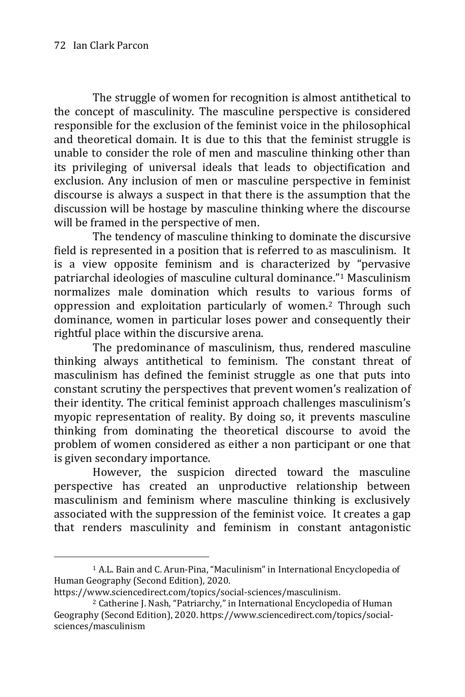-

The struggle of women for recognition is almost antithetical to the concept of masculinity. The masculine perspective is considered responsible for the exclusion of the feminist voice in the philosophical and theoretical domain. It is due to this that the feminist struggle is unable to consider the role of men and masculine thinking other than its privileging of universal ideals that leads to objectification and exclusion. Any inclusion of men or masculine perspective in feminist discourse is always a suspect in that there is the assumption that the discussion will be hostage by masculine thinking where the discourse will be framed in the perspective of men.

The tendency of masculine thinking to dominate the discursive field is represented in a position that is referred to as masculinism. It is a view opposite feminism and is characterized by "pervasive patriarchal ideologies of masculine cultural dominance."<sup>1</sup> Masculinism normalizes male domination which results to various forms of oppression and exploitation particularly of women.<sup>2</sup> Through such dominance, women in particular loses power and consequently their rightful place within the discursive arena.

The predominance of masculinism, thus, rendered masculine thinking always antithetical to feminism. The constant threat of masculinism has defined the feminist struggle as one that puts into constant scrutiny the perspectives that prevent women's realization of their identity. The critical feminist approach challenges masculinism's myopic representation of reality. By doing so, it prevents masculine thinking from dominating the theoretical discourse to avoid the problem of women considered as either a non participant or one that is given secondary importance.

However, the suspicion directed toward the masculine perspective has created an unproductive relationship between masculinism and feminism where masculine thinking is exclusively associated with the suppression of the feminist voice. It creates a gap that renders masculinity and feminism in constant antagonistic

<sup>1</sup> A.L. Bain and C. Arun-Pina, "Maculinism" in [International Encyclopedia of](https://www.sciencedirect.com/referencework/9780081022962/international-encyclopedia-of-human-geography)  [Human Geography \(Second Edition\),](https://www.sciencedirect.com/referencework/9780081022962/international-encyclopedia-of-human-geography) 2020.

https://www.sciencedirect.com/topics/social-sciences/masculinism.

<sup>2</sup> Catherine J. Nash, "Patriarchy," in [International Encyclopedia of Human](https://www.sciencedirect.com/referencework/9780081022962/international-encyclopedia-of-human-geography)  [Geography \(Second Edition\),](https://www.sciencedirect.com/referencework/9780081022962/international-encyclopedia-of-human-geography) 2020. https://www.sciencedirect.com/topics/socialsciences/masculinism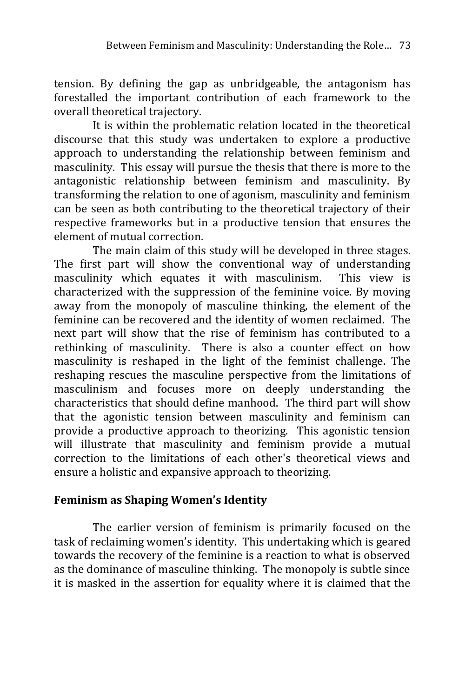tension. By defining the gap as unbridgeable, the antagonism has forestalled the important contribution of each framework to the overall theoretical trajectory.

It is within the problematic relation located in the theoretical discourse that this study was undertaken to explore a productive approach to understanding the relationship between feminism and masculinity. This essay will pursue the thesis that there is more to the antagonistic relationship between feminism and masculinity. By transforming the relation to one of agonism, masculinity and feminism can be seen as both contributing to the theoretical trajectory of their respective frameworks but in a productive tension that ensures the element of mutual correction.

The main claim of this study will be developed in three stages. The first part will show the conventional way of understanding masculinity which equates it with masculinism. This view is characterized with the suppression of the feminine voice. By moving away from the monopoly of masculine thinking, the element of the feminine can be recovered and the identity of women reclaimed. The next part will show that the rise of feminism has contributed to a rethinking of masculinity. There is also a counter effect on how masculinity is reshaped in the light of the feminist challenge. The reshaping rescues the masculine perspective from the limitations of masculinism and focuses more on deeply understanding the characteristics that should define manhood. The third part will show that the agonistic tension between masculinity and feminism can provide a productive approach to theorizing. This agonistic tension will illustrate that masculinity and feminism provide a mutual correction to the limitations of each other's theoretical views and ensure a holistic and expansive approach to theorizing.

## **Feminism as Shaping Women's Identity**

The earlier version of feminism is primarily focused on the task of reclaiming women's identity. This undertaking which is geared towards the recovery of the feminine is a reaction to what is observed as the dominance of masculine thinking. The monopoly is subtle since it is masked in the assertion for equality where it is claimed that the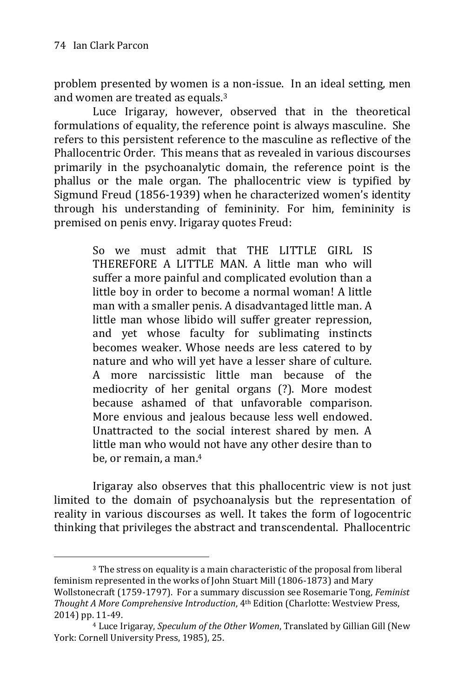-

problem presented by women is a non-issue. In an ideal setting, men and women are treated as equals.<sup>3</sup>

Luce Irigaray, however, observed that in the theoretical formulations of equality, the reference point is always masculine. She refers to this persistent reference to the masculine as reflective of the Phallocentric Order. This means that as revealed in various discourses primarily in the psychoanalytic domain, the reference point is the phallus or the male organ. The phallocentric view is typified by Sigmund Freud (1856-1939) when he characterized women's identity through his understanding of femininity. For him, femininity is premised on penis envy. Irigaray quotes Freud:

> So we must admit that THE LITTLE GIRL IS THEREFORE A LITTLE MAN. A little man who will suffer a more painful and complicated evolution than a little boy in order to become a normal woman! A little man with a smaller penis. A disadvantaged little man. A little man whose libido will suffer greater repression, and yet whose faculty for sublimating instincts becomes weaker. Whose needs are less catered to by nature and who will yet have a lesser share of culture. A more narcissistic little man because of the mediocrity of her genital organs (?). More modest because ashamed of that unfavorable comparison. More envious and jealous because less well endowed. Unattracted to the social interest shared by men. A little man who would not have any other desire than to be, or remain, a man.<sup>4</sup>

Irigaray also observes that this phallocentric view is not just limited to the domain of psychoanalysis but the representation of reality in various discourses as well. It takes the form of logocentric thinking that privileges the abstract and transcendental. Phallocentric

<sup>3</sup> The stress on equality is a main characteristic of the proposal from liberal feminism represented in the works of John Stuart Mill (1806-1873) and Mary Wollstonecraft (1759-1797). For a summary discussion see Rosemarie Tong, *Feminist Thought A More Comprehensive Introduction*, 4th Edition (Charlotte: Westview Press, 2014) pp. 11-49.

<sup>4</sup> Luce Irigaray, *Speculum of the Other Women*, Translated by Gillian Gill (New York: Cornell University Press, 1985), 25.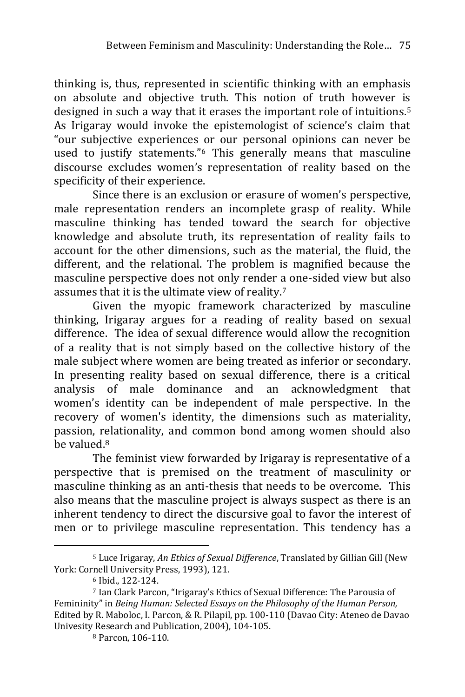thinking is, thus, represented in scientific thinking with an emphasis on absolute and objective truth. This notion of truth however is designed in such a way that it erases the important role of intuitions.<sup>5</sup> As Irigaray would invoke the epistemologist of science's claim that "our subjective experiences or our personal opinions can never be used to justify statements."<sup>6</sup> This generally means that masculine discourse excludes women's representation of reality based on the specificity of their experience.

Since there is an exclusion or erasure of women's perspective, male representation renders an incomplete grasp of reality. While masculine thinking has tended toward the search for objective knowledge and absolute truth, its representation of reality fails to account for the other dimensions, such as the material, the fluid, the different, and the relational. The problem is magnified because the masculine perspective does not only render a one-sided view but also assumes that it is the ultimate view of reality.<sup>7</sup>

Given the myopic framework characterized by masculine thinking, Irigaray argues for a reading of reality based on sexual difference. The idea of sexual difference would allow the recognition of a reality that is not simply based on the collective history of the male subject where women are being treated as inferior or secondary. In presenting reality based on sexual difference, there is a critical analysis of male dominance and an acknowledgment that women's identity can be independent of male perspective. In the recovery of women's identity, the dimensions such as materiality, passion, relationality, and common bond among women should also be valued.<sup>8</sup>

The feminist view forwarded by Irigaray is representative of a perspective that is premised on the treatment of masculinity or masculine thinking as an anti-thesis that needs to be overcome. This also means that the masculine project is always suspect as there is an inherent tendency to direct the discursive goal to favor the interest of men or to privilege masculine representation. This tendency has a

<sup>5</sup> Luce Irigaray, *An Ethics of Sexual Difference*, Translated by Gillian Gill (New York: Cornell University Press, 1993), 121.

<sup>6</sup> Ibid., 122-124.

<sup>7</sup> Ian Clark Parcon, "Irigaray's Ethics of Sexual Difference: The Parousia of Femininity" in *Being Human: Selected Essays on the Philosophy of the Human Person,* Edited by R. Maboloc, I. Parcon, & R. Pilapil, pp. 100-110 (Davao City: Ateneo de Davao Univesity Research and Publication, 2004), 104-105.

<sup>8</sup> Parcon, 106-110.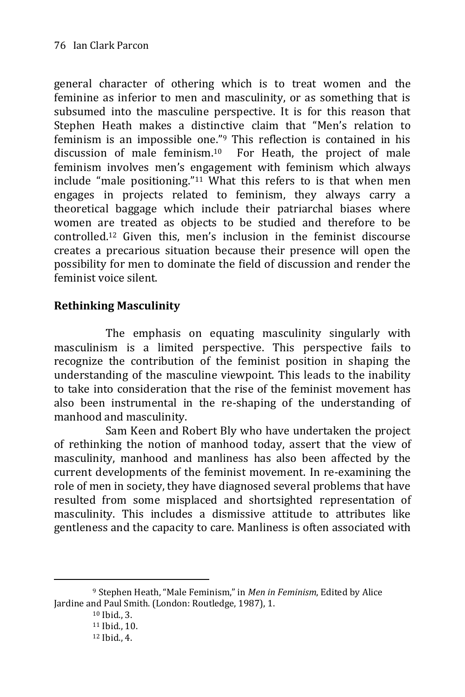general character of othering which is to treat women and the feminine as inferior to men and masculinity, or as something that is subsumed into the masculine perspective. It is for this reason that Stephen Heath makes a distinctive claim that "Men's relation to feminism is an impossible one."<sup>9</sup> This reflection is contained in his discussion of male feminism.10 For Heath, the project of male feminism involves men's engagement with feminism which always include "male positioning." <sup>11</sup> What this refers to is that when men engages in projects related to feminism, they always carry a theoretical baggage which include their patriarchal biases where women are treated as objects to be studied and therefore to be controlled.<sup>12</sup> Given this, men's inclusion in the feminist discourse creates a precarious situation because their presence will open the possibility for men to dominate the field of discussion and render the feminist voice silent.

# **Rethinking Masculinity**

 The emphasis on equating masculinity singularly with masculinism is a limited perspective. This perspective fails to recognize the contribution of the feminist position in shaping the understanding of the masculine viewpoint. This leads to the inability to take into consideration that the rise of the feminist movement has also been instrumental in the re-shaping of the understanding of manhood and masculinity.

 Sam Keen and Robert Bly who have undertaken the project of rethinking the notion of manhood today, assert that the view of masculinity, manhood and manliness has also been affected by the current developments of the feminist movement. In re-examining the role of men in society, they have diagnosed several problems that have resulted from some misplaced and shortsighted representation of masculinity. This includes a dismissive attitude to attributes like gentleness and the capacity to care. Manliness is often associated with

<sup>9</sup> Stephen Heath, "Male Feminism," in *Men in Feminism*, Edited by Alice Jardine and Paul Smith. (London: Routledge, 1987), 1.

<sup>10</sup> Ibid., 3.

<sup>11</sup> Ibid., 10.

<sup>12</sup> Ibid., 4.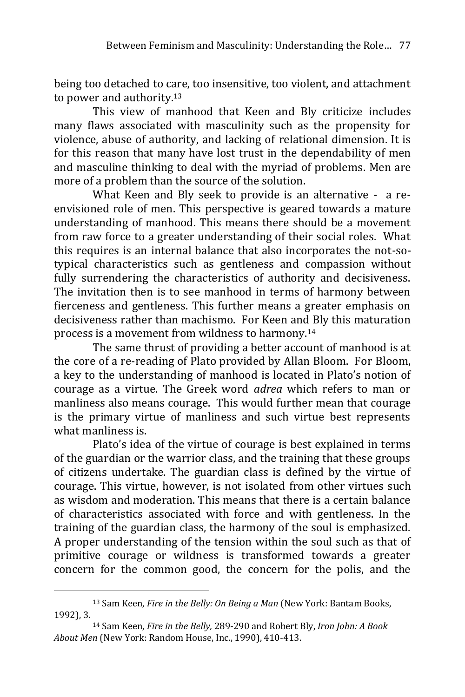being too detached to care, too insensitive, too violent, and attachment to power and authority.<sup>13</sup>

This view of manhood that Keen and Bly criticize includes many flaws associated with masculinity such as the propensity for violence, abuse of authority, and lacking of relational dimension. It is for this reason that many have lost trust in the dependability of men and masculine thinking to deal with the myriad of problems. Men are more of a problem than the source of the solution.

What Keen and Bly seek to provide is an alternative - a reenvisioned role of men. This perspective is geared towards a mature understanding of manhood. This means there should be a movement from raw force to a greater understanding of their social roles. What this requires is an internal balance that also incorporates the not-sotypical characteristics such as gentleness and compassion without fully surrendering the characteristics of authority and decisiveness. The invitation then is to see manhood in terms of harmony between fierceness and gentleness. This further means a greater emphasis on decisiveness rather than machismo. For Keen and Bly this maturation process is a movement from wildness to harmony.<sup>14</sup>

The same thrust of providing a better account of manhood is at the core of a re-reading of Plato provided by Allan Bloom. For Bloom, a key to the understanding of manhood is located in Plato's notion of courage as a virtue. The Greek word *adrea* which refers to man or manliness also means courage. This would further mean that courage is the primary virtue of manliness and such virtue best represents what manliness is.

Plato's idea of the virtue of courage is best explained in terms of the guardian or the warrior class, and the training that these groups of citizens undertake. The guardian class is defined by the virtue of courage. This virtue, however, is not isolated from other virtues such as wisdom and moderation. This means that there is a certain balance of characteristics associated with force and with gentleness. In the training of the guardian class, the harmony of the soul is emphasized. A proper understanding of the tension within the soul such as that of primitive courage or wildness is transformed towards a greater concern for the common good, the concern for the polis, and the

<sup>13</sup> Sam Keen, *Fire in the Belly: On Being a Man* (New York: Bantam Books, 1992), 3.

<sup>14</sup> Sam Keen, *Fire in the Belly,* 289-290 and Robert Bly, *Iron John: A Book About Men* (New York: Random House, Inc., 1990), 410-413.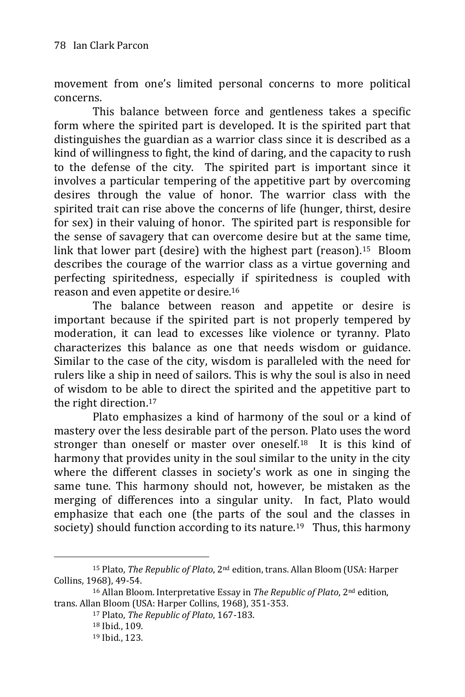movement from one's limited personal concerns to more political concerns.

This balance between force and gentleness takes a specific form where the spirited part is developed. It is the spirited part that distinguishes the guardian as a warrior class since it is described as a kind of willingness to fight, the kind of daring, and the capacity to rush to the defense of the city. The spirited part is important since it involves a particular tempering of the appetitive part by overcoming desires through the value of honor. The warrior class with the spirited trait can rise above the concerns of life (hunger, thirst, desire for sex) in their valuing of honor. The spirited part is responsible for the sense of savagery that can overcome desire but at the same time, link that lower part (desire) with the highest part (reason).15 Bloom describes the courage of the warrior class as a virtue governing and perfecting spiritedness, especially if spiritedness is coupled with reason and even appetite or desire.<sup>16</sup>

The balance between reason and appetite or desire is important because if the spirited part is not properly tempered by moderation, it can lead to excesses like violence or tyranny. Plato characterizes this balance as one that needs wisdom or guidance. Similar to the case of the city, wisdom is paralleled with the need for rulers like a ship in need of sailors. This is why the soul is also in need of wisdom to be able to direct the spirited and the appetitive part to the right direction.<sup>17</sup>

Plato emphasizes a kind of harmony of the soul or a kind of mastery over the less desirable part of the person. Plato uses the word stronger than oneself or master over oneself.18 It is this kind of harmony that provides unity in the soul similar to the unity in the city where the different classes in society's work as one in singing the same tune. This harmony should not, however, be mistaken as the merging of differences into a singular unity. In fact, Plato would emphasize that each one (the parts of the soul and the classes in society) should function according to its nature.<sup>19</sup> Thus, this harmony

<sup>15</sup> Plato, *The Republic of Plato*, 2nd edition, trans. Allan Bloom (USA: Harper Collins, 1968), 49-54.

<sup>16</sup> Allan Bloom. Interpretative Essay in *The Republic of Plato*, 2nd edition, trans. Allan Bloom (USA: Harper Collins, 1968), 351-353.

<sup>17</sup> Plato, *The Republic of Plato*, 167-183.

<sup>18</sup> Ibid., 109.

<sup>19</sup> Ibid., 123.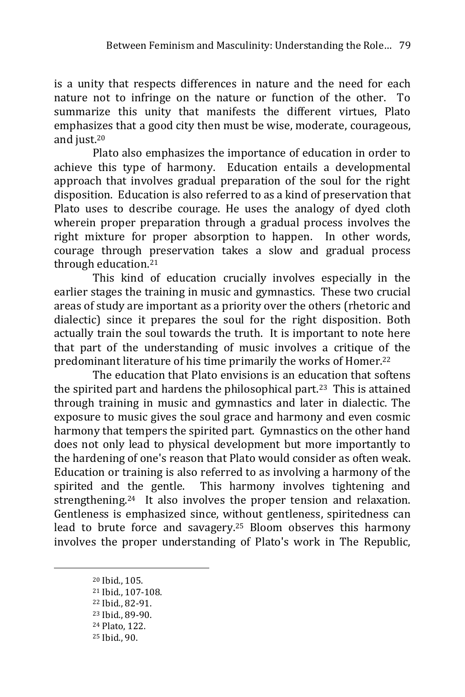is a unity that respects differences in nature and the need for each nature not to infringe on the nature or function of the other. To summarize this unity that manifests the different virtues, Plato emphasizes that a good city then must be wise, moderate, courageous, and just.<sup>20</sup>

Plato also emphasizes the importance of education in order to achieve this type of harmony. Education entails a developmental approach that involves gradual preparation of the soul for the right disposition. Education is also referred to as a kind of preservation that Plato uses to describe courage. He uses the analogy of dyed cloth wherein proper preparation through a gradual process involves the right mixture for proper absorption to happen. In other words, courage through preservation takes a slow and gradual process through education.<sup>21</sup>

This kind of education crucially involves especially in the earlier stages the training in music and gymnastics. These two crucial areas of study are important as a priority over the others (rhetoric and dialectic) since it prepares the soul for the right disposition. Both actually train the soul towards the truth. It is important to note here that part of the understanding of music involves a critique of the predominant literature of his time primarily the works of Homer.<sup>22</sup>

The education that Plato envisions is an education that softens the spirited part and hardens the philosophical part.<sup>23</sup> This is attained through training in music and gymnastics and later in dialectic. The exposure to music gives the soul grace and harmony and even cosmic harmony that tempers the spirited part. Gymnastics on the other hand does not only lead to physical development but more importantly to the hardening of one's reason that Plato would consider as often weak. Education or training is also referred to as involving a harmony of the spirited and the gentle. This harmony involves tightening and strengthening.24 It also involves the proper tension and relaxation. Gentleness is emphasized since, without gentleness, spiritedness can lead to brute force and savagery.<sup>25</sup> Bloom observes this harmony involves the proper understanding of Plato's work in The Republic,

<sup>20</sup> Ibid., 105.

<sup>21</sup> Ibid., 107-108.

<sup>22</sup> Ibid., 82-91.

<sup>23</sup> Ibid., 89-90.

<sup>24</sup> Plato, 122.

<sup>25</sup> Ibid., 90.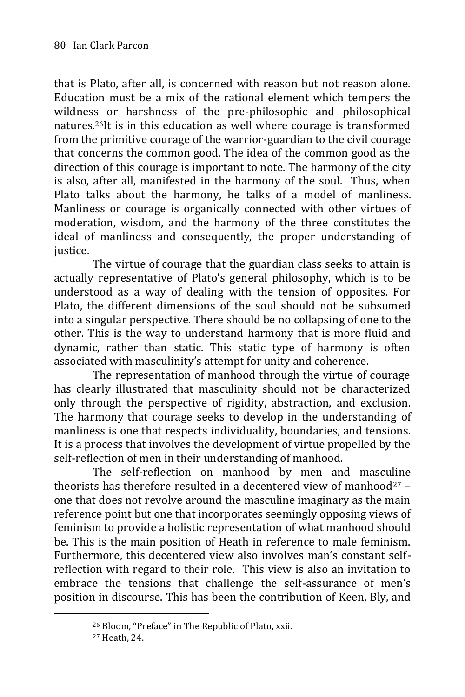that is Plato, after all, is concerned with reason but not reason alone. Education must be a mix of the rational element which tempers the wildness or harshness of the pre-philosophic and philosophical natures.26It is in this education as well where courage is transformed from the primitive courage of the warrior-guardian to the civil courage that concerns the common good. The idea of the common good as the direction of this courage is important to note. The harmony of the city is also, after all, manifested in the harmony of the soul. Thus, when Plato talks about the harmony, he talks of a model of manliness. Manliness or courage is organically connected with other virtues of moderation, wisdom, and the harmony of the three constitutes the ideal of manliness and consequently, the proper understanding of justice.

The virtue of courage that the guardian class seeks to attain is actually representative of Plato's general philosophy, which is to be understood as a way of dealing with the tension of opposites. For Plato, the different dimensions of the soul should not be subsumed into a singular perspective. There should be no collapsing of one to the other. This is the way to understand harmony that is more fluid and dynamic, rather than static. This static type of harmony is often associated with masculinity's attempt for unity and coherence.

The representation of manhood through the virtue of courage has clearly illustrated that masculinity should not be characterized only through the perspective of rigidity, abstraction, and exclusion. The harmony that courage seeks to develop in the understanding of manliness is one that respects individuality, boundaries, and tensions. It is a process that involves the development of virtue propelled by the self-reflection of men in their understanding of manhood.

The self-reflection on manhood by men and masculine theorists has therefore resulted in a decentered view of manhood<sup>27</sup>  $$ one that does not revolve around the masculine imaginary as the main reference point but one that incorporates seemingly opposing views of feminism to provide a holistic representation of what manhood should be. This is the main position of Heath in reference to male feminism. Furthermore, this decentered view also involves man's constant selfreflection with regard to their role. This view is also an invitation to embrace the tensions that challenge the self-assurance of men's position in discourse. This has been the contribution of Keen, Bly, and

<sup>26</sup> Bloom, "Preface" in The Republic of Plato, xxii.

<sup>27</sup> Heath, 24.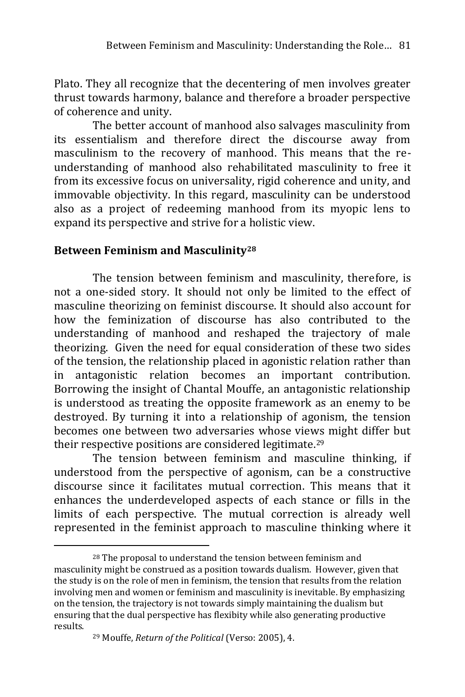Plato. They all recognize that the decentering of men involves greater thrust towards harmony, balance and therefore a broader perspective of coherence and unity.

The better account of manhood also salvages masculinity from its essentialism and therefore direct the discourse away from masculinism to the recovery of manhood. This means that the reunderstanding of manhood also rehabilitated masculinity to free it from its excessive focus on universality, rigid coherence and unity, and immovable objectivity. In this regard, masculinity can be understood also as a project of redeeming manhood from its myopic lens to expand its perspective and strive for a holistic view.

#### **Between Feminism and Masculinity<sup>28</sup>**

The tension between feminism and masculinity, therefore, is not a one-sided story. It should not only be limited to the effect of masculine theorizing on feminist discourse. It should also account for how the feminization of discourse has also contributed to the understanding of manhood and reshaped the trajectory of male theorizing. Given the need for equal consideration of these two sides of the tension, the relationship placed in agonistic relation rather than in antagonistic relation becomes an important contribution. Borrowing the insight of Chantal Mouffe, an antagonistic relationship is understood as treating the opposite framework as an enemy to be destroyed. By turning it into a relationship of agonism, the tension becomes one between two adversaries whose views might differ but their respective positions are considered legitimate.<sup>29</sup>

The tension between feminism and masculine thinking, if understood from the perspective of agonism, can be a constructive discourse since it facilitates mutual correction. This means that it enhances the underdeveloped aspects of each stance or fills in the limits of each perspective. The mutual correction is already well represented in the feminist approach to masculine thinking where it

<sup>28</sup> The proposal to understand the tension between feminism and masculinity might be construed as a position towards dualism. However, given that the study is on the role of men in feminism, the tension that results from the relation involving men and women or feminism and masculinity is inevitable. By emphasizing on the tension, the trajectory is not towards simply maintaining the dualism but ensuring that the dual perspective has flexibity while also generating productive results.

<sup>29</sup> Mouffe, *Return of the Political* (Verso: 2005), 4.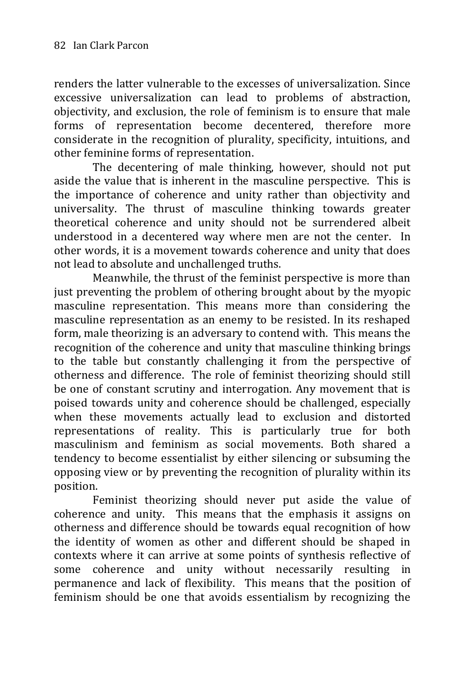renders the latter vulnerable to the excesses of universalization. Since excessive universalization can lead to problems of abstraction, objectivity, and exclusion, the role of feminism is to ensure that male forms of representation become decentered, therefore more considerate in the recognition of plurality, specificity, intuitions, and other feminine forms of representation.

The decentering of male thinking, however, should not put aside the value that is inherent in the masculine perspective. This is the importance of coherence and unity rather than objectivity and universality. The thrust of masculine thinking towards greater theoretical coherence and unity should not be surrendered albeit understood in a decentered way where men are not the center. In other words, it is a movement towards coherence and unity that does not lead to absolute and unchallenged truths.

Meanwhile, the thrust of the feminist perspective is more than just preventing the problem of othering brought about by the myopic masculine representation. This means more than considering the masculine representation as an enemy to be resisted. In its reshaped form, male theorizing is an adversary to contend with. This means the recognition of the coherence and unity that masculine thinking brings to the table but constantly challenging it from the perspective of otherness and difference. The role of feminist theorizing should still be one of constant scrutiny and interrogation. Any movement that is poised towards unity and coherence should be challenged, especially when these movements actually lead to exclusion and distorted representations of reality. This is particularly true for both masculinism and feminism as social movements. Both shared a tendency to become essentialist by either silencing or subsuming the opposing view or by preventing the recognition of plurality within its position.

Feminist theorizing should never put aside the value of coherence and unity. This means that the emphasis it assigns on otherness and difference should be towards equal recognition of how the identity of women as other and different should be shaped in contexts where it can arrive at some points of synthesis reflective of some coherence and unity without necessarily resulting in permanence and lack of flexibility. This means that the position of feminism should be one that avoids essentialism by recognizing the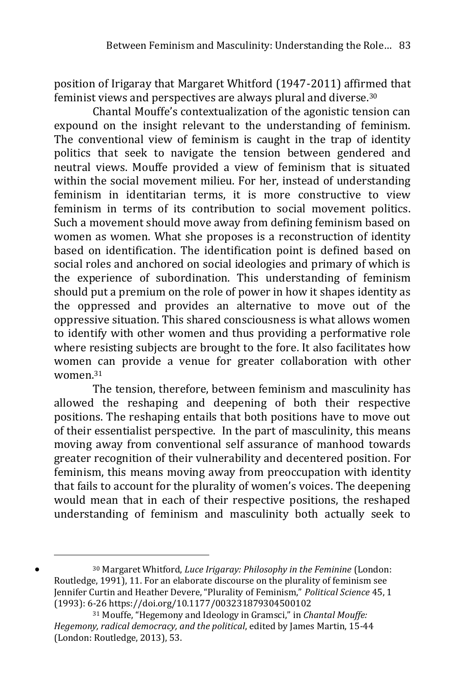position of Irigaray that Margaret Whitford (1947-2011) affirmed that feminist views and perspectives are always plural and diverse.<sup>30</sup>

Chantal Mouffe's contextualization of the agonistic tension can expound on the insight relevant to the understanding of feminism. The conventional view of feminism is caught in the trap of identity politics that seek to navigate the tension between gendered and neutral views. Mouffe provided a view of feminism that is situated within the social movement milieu. For her, instead of understanding feminism in identitarian terms, it is more constructive to view feminism in terms of its contribution to social movement politics. Such a movement should move away from defining feminism based on women as women. What she proposes is a reconstruction of identity based on identification. The identification point is defined based on social roles and anchored on social ideologies and primary of which is the experience of subordination. This understanding of feminism should put a premium on the role of power in how it shapes identity as the oppressed and provides an alternative to move out of the oppressive situation. This shared consciousness is what allows women to identify with other women and thus providing a performative role where resisting subjects are brought to the fore. It also facilitates how women can provide a venue for greater collaboration with other women.<sup>31</sup>

The tension, therefore, between feminism and masculinity has allowed the reshaping and deepening of both their respective positions. The reshaping entails that both positions have to move out of their essentialist perspective. In the part of masculinity, this means moving away from conventional self assurance of manhood towards greater recognition of their vulnerability and decentered position. For feminism, this means moving away from preoccupation with identity that fails to account for the plurality of women's voices. The deepening would mean that in each of their respective positions, the reshaped understanding of feminism and masculinity both actually seek to

<sup>30</sup> Margaret Whitford, *Luce Irigaray: Philosophy in the Feminine* (London: Routledge, 1991), 11. For an elaborate discourse on the plurality of feminism see Jennifer Curtin and Heather Devere, "Plurality of Feminism," *Political Science* 45, 1 (1993): 6-2[6 https://doi.org/10.1177/003231879304500102](https://doi.org/10.1177/003231879304500102)

<sup>31</sup> Mouffe, "Hegemony and Ideology in Gramsci," in *Chantal Mouffe: Hegemony, radical democracy, and the political*, edited by James Martin, 15-44 (London: Routledge, 2013), 53.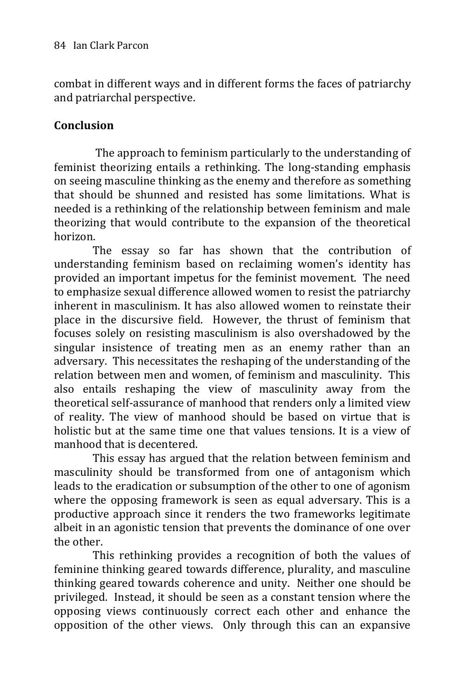combat in different ways and in different forms the faces of patriarchy and patriarchal perspective.

## **Conclusion**

The approach to feminism particularly to the understanding of feminist theorizing entails a rethinking. The long-standing emphasis on seeing masculine thinking as the enemy and therefore as something that should be shunned and resisted has some limitations. What is needed is a rethinking of the relationship between feminism and male theorizing that would contribute to the expansion of the theoretical horizon.

The essay so far has shown that the contribution of understanding feminism based on reclaiming women's identity has provided an important impetus for the feminist movement. The need to emphasize sexual difference allowed women to resist the patriarchy inherent in masculinism. It has also allowed women to reinstate their place in the discursive field. However, the thrust of feminism that focuses solely on resisting masculinism is also overshadowed by the singular insistence of treating men as an enemy rather than an adversary. This necessitates the reshaping of the understanding of the relation between men and women, of feminism and masculinity. This also entails reshaping the view of masculinity away from the theoretical self-assurance of manhood that renders only a limited view of reality. The view of manhood should be based on virtue that is holistic but at the same time one that values tensions. It is a view of manhood that is decentered.

This essay has argued that the relation between feminism and masculinity should be transformed from one of antagonism which leads to the eradication or subsumption of the other to one of agonism where the opposing framework is seen as equal adversary. This is a productive approach since it renders the two frameworks legitimate albeit in an agonistic tension that prevents the dominance of one over the other.

This rethinking provides a recognition of both the values of feminine thinking geared towards difference, plurality, and masculine thinking geared towards coherence and unity. Neither one should be privileged. Instead, it should be seen as a constant tension where the opposing views continuously correct each other and enhance the opposition of the other views. Only through this can an expansive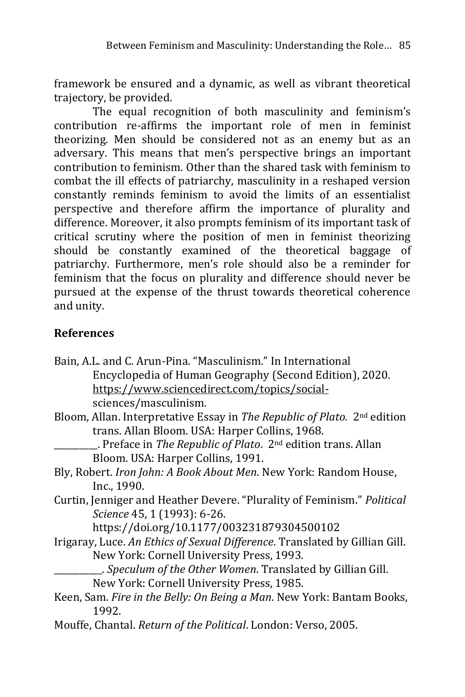framework be ensured and a dynamic, as well as vibrant theoretical trajectory, be provided.

The equal recognition of both masculinity and feminism's contribution re-affirms the important role of men in feminist theorizing. Men should be considered not as an enemy but as an adversary. This means that men's perspective brings an important contribution to feminism. Other than the shared task with feminism to combat the ill effects of patriarchy, masculinity in a reshaped version constantly reminds feminism to avoid the limits of an essentialist perspective and therefore affirm the importance of plurality and difference. Moreover, it also prompts feminism of its important task of critical scrutiny where the position of men in feminist theorizing should be constantly examined of the theoretical baggage of patriarchy. Furthermore, men's role should also be a reminder for feminism that the focus on plurality and difference should never be pursued at the expense of the thrust towards theoretical coherence and unity.

# **References**